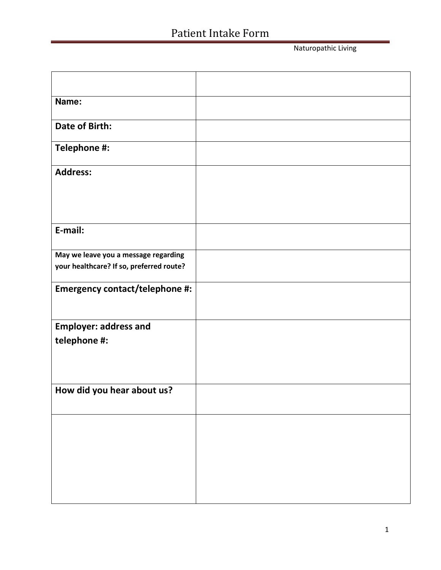Naturopathic Living

| Name:                                                                            |  |
|----------------------------------------------------------------------------------|--|
| <b>Date of Birth:</b>                                                            |  |
| Telephone #:                                                                     |  |
| <b>Address:</b>                                                                  |  |
|                                                                                  |  |
|                                                                                  |  |
| E-mail:                                                                          |  |
| May we leave you a message regarding<br>your healthcare? If so, preferred route? |  |
|                                                                                  |  |
| Emergency contact/telephone #:                                                   |  |
|                                                                                  |  |
| <b>Employer: address and</b>                                                     |  |
| telephone #:                                                                     |  |
|                                                                                  |  |
|                                                                                  |  |
| How did you hear about us?                                                       |  |
|                                                                                  |  |
|                                                                                  |  |
|                                                                                  |  |
|                                                                                  |  |
|                                                                                  |  |
|                                                                                  |  |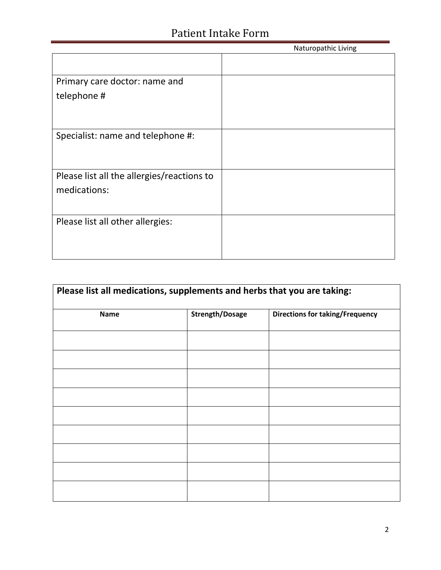|                                            | Naturopathic Living |
|--------------------------------------------|---------------------|
|                                            |                     |
| Primary care doctor: name and              |                     |
| telephone #                                |                     |
|                                            |                     |
|                                            |                     |
| Specialist: name and telephone #:          |                     |
|                                            |                     |
|                                            |                     |
| Please list all the allergies/reactions to |                     |
| medications:                               |                     |
|                                            |                     |
| Please list all other allergies:           |                     |
|                                            |                     |
|                                            |                     |
|                                            |                     |

| Please list all medications, supplements and herbs that you are taking: |                        |                                        |  |  |  |  |
|-------------------------------------------------------------------------|------------------------|----------------------------------------|--|--|--|--|
| Name                                                                    | <b>Strength/Dosage</b> | <b>Directions for taking/Frequency</b> |  |  |  |  |
|                                                                         |                        |                                        |  |  |  |  |
|                                                                         |                        |                                        |  |  |  |  |
|                                                                         |                        |                                        |  |  |  |  |
|                                                                         |                        |                                        |  |  |  |  |
|                                                                         |                        |                                        |  |  |  |  |
|                                                                         |                        |                                        |  |  |  |  |
|                                                                         |                        |                                        |  |  |  |  |
|                                                                         |                        |                                        |  |  |  |  |
|                                                                         |                        |                                        |  |  |  |  |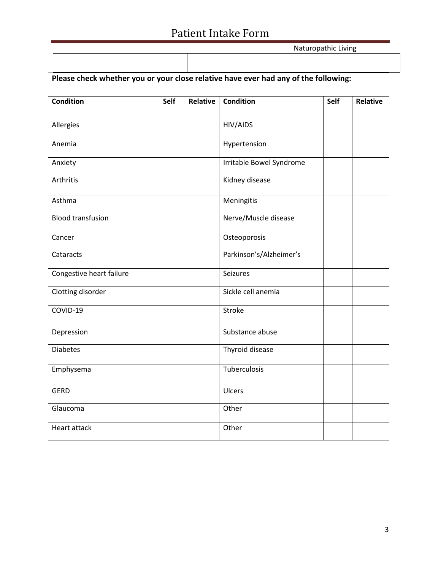|                                                                                     |      | Naturopathic Living |                          |  |      |                 |  |
|-------------------------------------------------------------------------------------|------|---------------------|--------------------------|--|------|-----------------|--|
|                                                                                     |      |                     |                          |  |      |                 |  |
| Please check whether you or your close relative have ever had any of the following: |      |                     |                          |  |      |                 |  |
| <b>Condition</b>                                                                    | Self | Relative            | <b>Condition</b>         |  | Self | <b>Relative</b> |  |
| Allergies                                                                           |      |                     | HIV/AIDS                 |  |      |                 |  |
| Anemia                                                                              |      |                     | Hypertension             |  |      |                 |  |
| Anxiety                                                                             |      |                     | Irritable Bowel Syndrome |  |      |                 |  |
| Arthritis                                                                           |      |                     | Kidney disease           |  |      |                 |  |
| Asthma                                                                              |      |                     | Meningitis               |  |      |                 |  |
| <b>Blood transfusion</b>                                                            |      |                     | Nerve/Muscle disease     |  |      |                 |  |
| Cancer                                                                              |      |                     | Osteoporosis             |  |      |                 |  |
| Cataracts                                                                           |      |                     | Parkinson's/Alzheimer's  |  |      |                 |  |
| Congestive heart failure                                                            |      |                     | Seizures                 |  |      |                 |  |
| Clotting disorder                                                                   |      |                     | Sickle cell anemia       |  |      |                 |  |
| COVID-19                                                                            |      |                     | Stroke                   |  |      |                 |  |
| Depression                                                                          |      |                     | Substance abuse          |  |      |                 |  |
| <b>Diabetes</b>                                                                     |      |                     | Thyroid disease          |  |      |                 |  |
| Emphysema                                                                           |      |                     | Tuberculosis             |  |      |                 |  |
| GERD                                                                                |      |                     | Ulcers                   |  |      |                 |  |
| Glaucoma                                                                            |      |                     | Other                    |  |      |                 |  |
| Heart attack                                                                        |      |                     | Other                    |  |      |                 |  |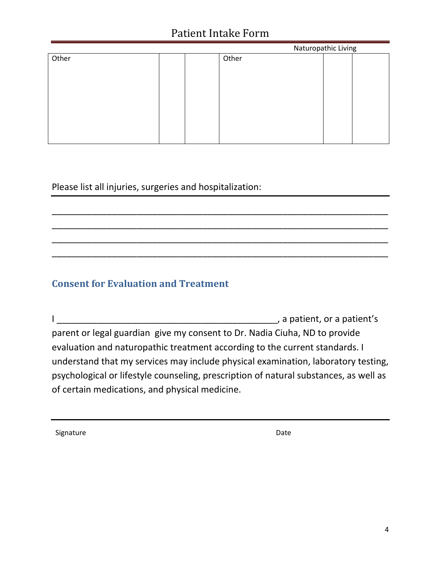|       |  |  |       | Naturopathic Living |  |  |
|-------|--|--|-------|---------------------|--|--|
| Other |  |  | Other |                     |  |  |
|       |  |  |       |                     |  |  |
|       |  |  |       |                     |  |  |
|       |  |  |       |                     |  |  |
|       |  |  |       |                     |  |  |
|       |  |  |       |                     |  |  |
|       |  |  |       |                     |  |  |
|       |  |  |       |                     |  |  |
|       |  |  |       |                     |  |  |

\_\_\_\_\_\_\_\_\_\_\_\_\_\_\_\_\_\_\_\_\_\_\_\_\_\_\_\_\_\_\_\_\_\_\_\_\_\_\_\_\_\_\_\_\_\_\_\_\_\_\_\_\_\_\_\_\_\_\_\_\_\_\_\_\_\_\_ \_\_\_\_\_\_\_\_\_\_\_\_\_\_\_\_\_\_\_\_\_\_\_\_\_\_\_\_\_\_\_\_\_\_\_\_\_\_\_\_\_\_\_\_\_\_\_\_\_\_\_\_\_\_\_\_\_\_\_\_\_\_\_\_\_\_\_ \_\_\_\_\_\_\_\_\_\_\_\_\_\_\_\_\_\_\_\_\_\_\_\_\_\_\_\_\_\_\_\_\_\_\_\_\_\_\_\_\_\_\_\_\_\_\_\_\_\_\_\_\_\_\_\_\_\_\_\_\_\_\_\_\_\_\_ \_\_\_\_\_\_\_\_\_\_\_\_\_\_\_\_\_\_\_\_\_\_\_\_\_\_\_\_\_\_\_\_\_\_\_\_\_\_\_\_\_\_\_\_\_\_\_\_\_\_\_\_\_\_\_\_\_\_\_\_\_\_\_\_\_\_\_

Please list all injuries, surgeries and hospitalization:

#### **Consent for Evaluation and Treatment**

I \_\_\_\_\_\_\_\_\_\_\_\_\_\_\_\_\_\_\_\_\_\_\_\_\_\_\_\_\_\_\_\_\_\_\_\_\_\_\_\_\_\_\_\_, a patient, or a patient's parent or legal guardian give my consent to Dr. Nadia Ciuha, ND to provide evaluation and naturopathic treatment according to the current standards. I understand that my services may include physical examination, laboratory testing, psychological or lifestyle counseling, prescription of natural substances, as well as of certain medications, and physical medicine.

Signature Date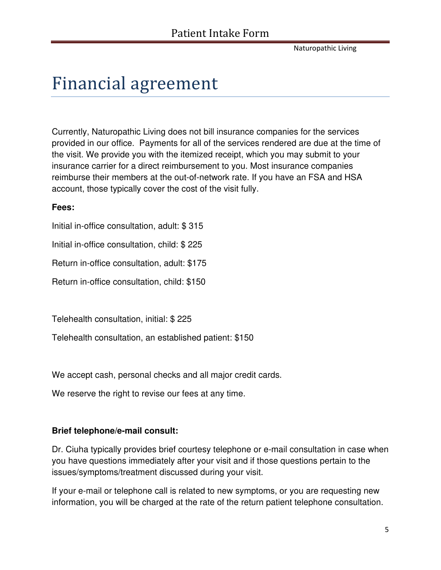Naturopathic Living

## Financial agreement

Currently, Naturopathic Living does not bill insurance companies for the services provided in our office. Payments for all of the services rendered are due at the time of the visit. We provide you with the itemized receipt, which you may submit to your insurance carrier for a direct reimbursement to you. Most insurance companies reimburse their members at the out-of-network rate. If you have an FSA and HSA account, those typically cover the cost of the visit fully.

#### **Fees:**

Initial in-office consultation, adult: \$ 315

Initial in-office consultation, child: \$ 225

Return in-office consultation, adult: \$175

Return in-office consultation, child: \$150

Telehealth consultation, initial: \$ 225

Telehealth consultation, an established patient: \$150

We accept cash, personal checks and all major credit cards.

We reserve the right to revise our fees at any time.

#### **Brief telephone/e-mail consult:**

Dr. Ciuha typically provides brief courtesy telephone or e-mail consultation in case when you have questions immediately after your visit and if those questions pertain to the issues/symptoms/treatment discussed during your visit.

If your e-mail or telephone call is related to new symptoms, or you are requesting new information, you will be charged at the rate of the return patient telephone consultation.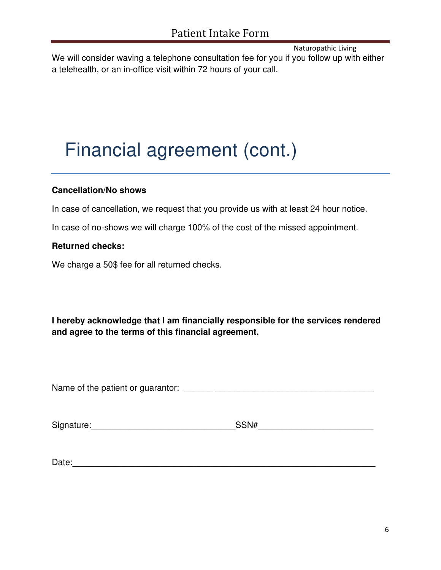Naturopathic Living

We will consider waving a telephone consultation fee for you if you follow up with either a telehealth, or an in-office visit within 72 hours of your call.

# Financial agreement (cont.)

#### **Cancellation/No shows**

In case of cancellation, we request that you provide us with at least 24 hour notice.

In case of no-shows we will charge 100% of the cost of the missed appointment.

#### **Returned checks:**

We charge a 50\$ fee for all returned checks.

**I hereby acknowledge that I am financially responsible for the services rendered and agree to the terms of this financial agreement.**

Name of the patient or guarantor:  $\blacksquare$ 

Signature:\_\_\_\_\_\_\_\_\_\_\_\_\_\_\_\_\_\_\_\_\_\_\_\_\_\_\_\_\_\_SSN#\_\_\_\_\_\_\_\_\_\_\_\_\_\_\_\_\_\_\_\_\_\_\_\_

| $\overline{\phantom{0}}$<br>Date: |  |
|-----------------------------------|--|
|                                   |  |